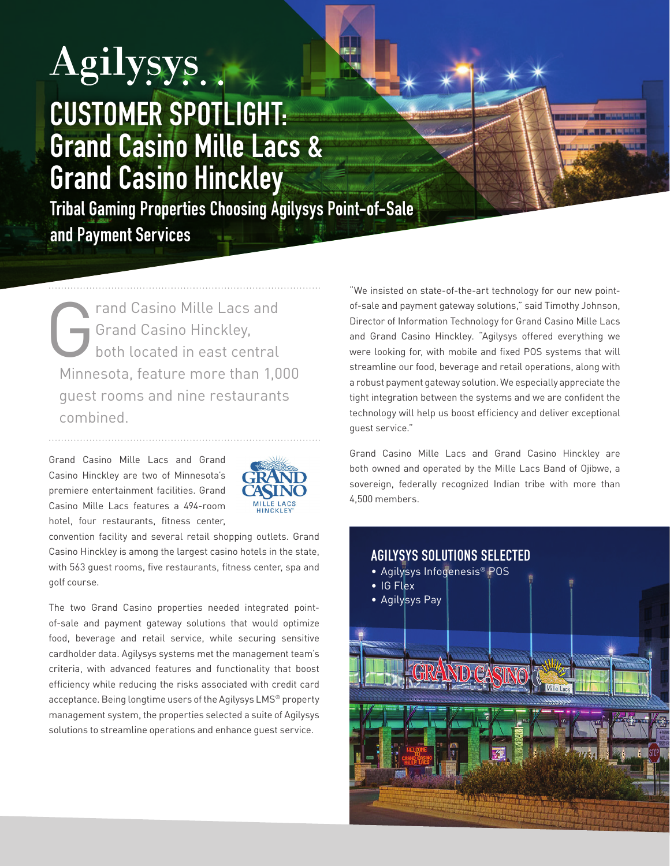## Agilysys... CUSTOMER SPOTLIGHT: Grand Casino Mille Lacs & Grand Casino Hinckley

Tribal Gaming Properties Choosing Agilysys Point-of-Sale and Payment Services

Trand Casino Mille Lacs and<br>Grand Casino Hinckley,<br>both located in east central Grand Casino Hinckley, both located in east central Minnesota, feature more than 1,000 guest rooms and nine restaurants combined.

Grand Casino Mille Lacs and Grand Casino Hinckley are two of Minnesota's premiere entertainment facilities. Grand Casino Mille Lacs features a 494-room hotel, four restaurants, fitness center,



convention facility and several retail shopping outlets. Grand Casino Hinckley is among the largest casino hotels in the state, with 563 guest rooms, five restaurants, fitness center, spa and golf course.

The two Grand Casino properties needed integrated pointof-sale and payment gateway solutions that would optimize food, beverage and retail service, while securing sensitive cardholder data. Agilysys systems met the management team's criteria, with advanced features and functionality that boost efficiency while reducing the risks associated with credit card acceptance. Being longtime users of the Agilysys LMS® property management system, the properties selected a suite of Agilysys solutions to streamline operations and enhance guest service.

"We insisted on state-of-the-art technology for our new pointof-sale and payment gateway solutions," said Timothy Johnson, Director of Information Technology for Grand Casino Mille Lacs and Grand Casino Hinckley. "Agilysys offered everything we were looking for, with mobile and fixed POS systems that will streamline our food, beverage and retail operations, along with a robust payment gateway solution. We especially appreciate the tight integration between the systems and we are confident the technology will help us boost efficiency and deliver exceptional guest service."

Grand Casino Mille Lacs and Grand Casino Hinckley are both owned and operated by the Mille Lacs Band of Ojibwe, a sovereign, federally recognized Indian tribe with more than 4,500 members.